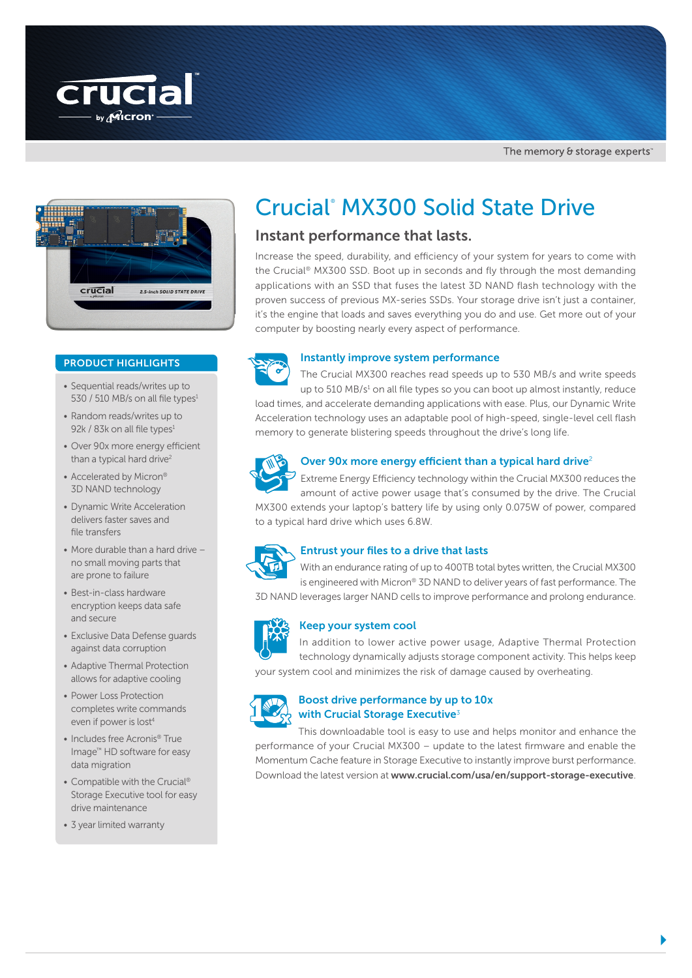



### PRODUCT HIGHLIGHTS

- Sequential reads/writes up to 530 / 510 MB/s on all file types $1$
- Random reads/writes up to 92k / 83k on all file types<sup>1</sup>
- Over 90x more energy efficient than a typical hard drive<sup>2</sup>
- Accelerated by Micron® 3D NAND technology
- Dynamic Write Acceleration delivers faster saves and file transfers
- More durable than a hard drive no small moving parts that are prone to failure
- Best-in-class hardware encryption keeps data safe and secure
- Exclusive Data Defense guards against data corruption
- Adaptive Thermal Protection allows for adaptive cooling
- Power Loss Protection completes write commands even if power is lost<sup>4</sup>
- Includes free Acronis® True Image™ HD software for easy data migration
- Compatible with the Crucial® Storage Executive tool for easy drive maintenance
- 3 year limited warranty

# Crucial® MX300 Solid State Drive

## Instant performance that lasts.

Increase the speed, durability, and efficiency of your system for years to come with the Crucial® MX300 SSD. Boot up in seconds and fly through the most demanding applications with an SSD that fuses the latest 3D NAND flash technology with the proven success of previous MX-series SSDs. Your storage drive isn't just a container, it's the engine that loads and saves everything you do and use. Get more out of your computer by boosting nearly every aspect of performance.



### Instantly improve system performance

The Crucial MX300 reaches read speeds up to 530 MB/s and write speeds up to  $510$  MB/s<sup>1</sup> on all file types so you can boot up almost instantly, reduce load times, and accelerate demanding applications with ease. Plus, our Dynamic Write Acceleration technology uses an adaptable pool of high-speed, single-level cell flash memory to generate blistering speeds throughout the drive's long life.



### Over 90x more energy efficient than a typical hard drive<sup>2</sup>

Extreme Energy Efficiency technology within the Crucial MX300 reduces the amount of active power usage that's consumed by the drive. The Crucial MX300 extends your laptop's battery life by using only 0.075W of power, compared to a typical hard drive which uses 6.8W.



### Entrust your files to a drive that lasts

With an endurance rating of up to 400TB total bytes written, the Crucial MX300 is engineered with Micron® 3D NAND to deliver years of fast performance. The 3D NAND leverages larger NAND cells to improve performance and prolong endurance.



#### Keep your system cool

In addition to lower active power usage, Adaptive Thermal Protection technology dynamically adjusts storage component activity. This helps keep your system cool and minimizes the risk of damage caused by overheating.



### Boost drive performance by up to 10x with Crucial Storage Executive<sup>3</sup>

This downloadable tool is easy to use and helps monitor and enhance the performance of your Crucial MX300 – update to the latest firmware and enable the Momentum Cache feature in Storage Executive to instantly improve burst performance. Download the latest version at www.crucial.com/usa/en/support-storage-executive.